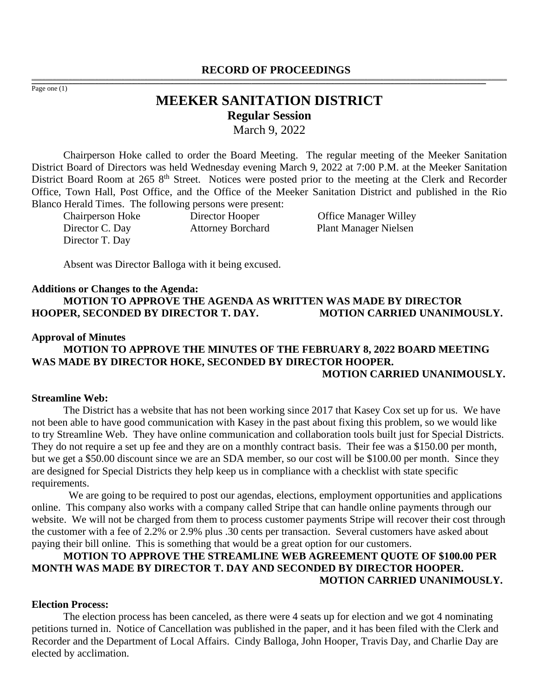#### **RECORD OF PROCEEDINGS** ,一个人都是不能在这里的,我们就是不能在这里的,我们就是我们的,我们就是我们的。""我们,我们就是我们的,我们就是我们的。""我们,我们就是我们的。""我们,我们

Page one (1)

# **MEEKER SANITATION DISTRICT Regular Session** March 9, 2022

,我们也不能会在这里,我们的人们就会不能会在这里,我们也不能会不能会不能会不能会不能会不能会不能会。""我们的人们就会不能会不能会不能会不能会不能会不能会不能会

Chairperson Hoke called to order the Board Meeting. The regular meeting of the Meeker Sanitation District Board of Directors was held Wednesday evening March 9, 2022 at 7:00 P.M. at the Meeker Sanitation District Board Room at 265 8<sup>th</sup> Street. Notices were posted prior to the meeting at the Clerk and Recorder Office, Town Hall, Post Office, and the Office of the Meeker Sanitation District and published in the Rio Blanco Herald Times. The following persons were present:

Chairperson Hoke Director Hooper Office Manager Willey Director C. Day Attorney Borchard Plant Manager Nielsen Director T. Day

Absent was Director Balloga with it being excused.

#### **Additions or Changes to the Agenda:**

**MOTION TO APPROVE THE AGENDA AS WRITTEN WAS MADE BY DIRECTOR HOOPER, SECONDED BY DIRECTOR T. DAY. MOTION CARRIED UNANIMOUSLY.**

#### **Approval of Minutes**

### **MOTION TO APPROVE THE MINUTES OF THE FEBRUARY 8, 2022 BOARD MEETING WAS MADE BY DIRECTOR HOKE, SECONDED BY DIRECTOR HOOPER. MOTION CARRIED UNANIMOUSLY.**

### **Streamline Web:**

The District has a website that has not been working since 2017 that Kasey Cox set up for us. We have not been able to have good communication with Kasey in the past about fixing this problem, so we would like to try Streamline Web. They have online communication and collaboration tools built just for Special Districts. They do not require a set up fee and they are on a monthly contract basis. Their fee was a \$150.00 per month, but we get a \$50.00 discount since we are an SDA member, so our cost will be \$100.00 per month. Since they are designed for Special Districts they help keep us in compliance with a checklist with state specific requirements.

 We are going to be required to post our agendas, elections, employment opportunities and applications online. This company also works with a company called Stripe that can handle online payments through our website. We will not be charged from them to process customer payments Stripe will recover their cost through the customer with a fee of 2.2% or 2.9% plus .30 cents per transaction. Several customers have asked about paying their bill online. This is something that would be a great option for our customers.

## **MOTION TO APPROVE THE STREAMLINE WEB AGREEMENT QUOTE OF \$100.00 PER MONTH WAS MADE BY DIRECTOR T. DAY AND SECONDED BY DIRECTOR HOOPER. MOTION CARRIED UNANIMOUSLY.**

### **Election Process:**

The election process has been canceled, as there were 4 seats up for election and we got 4 nominating petitions turned in. Notice of Cancellation was published in the paper, and it has been filed with the Clerk and Recorder and the Department of Local Affairs. Cindy Balloga, John Hooper, Travis Day, and Charlie Day are elected by acclimation.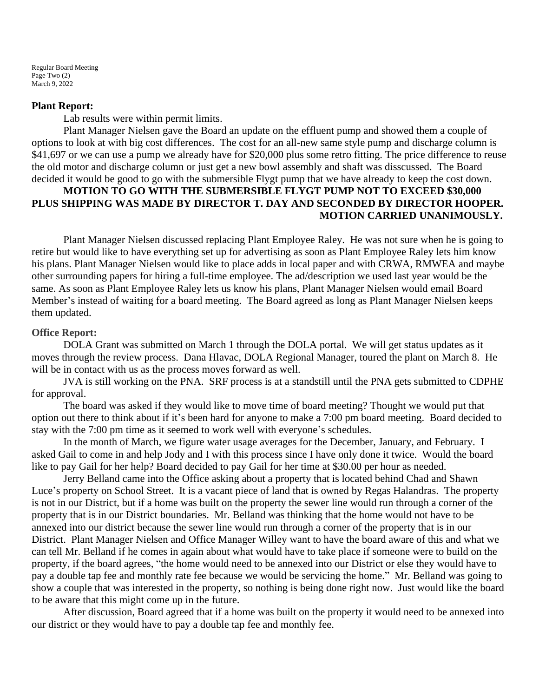Regular Board Meeting Page Two  $(2)$ March 9, 2022

### **Plant Report:**

Lab results were within permit limits.

Plant Manager Nielsen gave the Board an update on the effluent pump and showed them a couple of options to look at with big cost differences. The cost for an all-new same style pump and discharge column is \$41,697 or we can use a pump we already have for \$20,000 plus some retro fitting. The price difference to reuse the old motor and discharge column or just get a new bowl assembly and shaft was disscussed. The Board decided it would be good to go with the submersible Flygt pump that we have already to keep the cost down.

### **MOTION TO GO WITH THE SUBMERSIBLE FLYGT PUMP NOT TO EXCEED \$30,000 PLUS SHIPPING WAS MADE BY DIRECTOR T. DAY AND SECONDED BY DIRECTOR HOOPER. MOTION CARRIED UNANIMOUSLY.**

Plant Manager Nielsen discussed replacing Plant Employee Raley. He was not sure when he is going to retire but would like to have everything set up for advertising as soon as Plant Employee Raley lets him know his plans. Plant Manager Nielsen would like to place adds in local paper and with CRWA, RMWEA and maybe other surrounding papers for hiring a full-time employee. The ad/description we used last year would be the same. As soon as Plant Employee Raley lets us know his plans, Plant Manager Nielsen would email Board Member's instead of waiting for a board meeting. The Board agreed as long as Plant Manager Nielsen keeps them updated.

### **Office Report:**

DOLA Grant was submitted on March 1 through the DOLA portal. We will get status updates as it moves through the review process. Dana Hlavac, DOLA Regional Manager, toured the plant on March 8. He will be in contact with us as the process moves forward as well.

JVA is still working on the PNA. SRF process is at a standstill until the PNA gets submitted to CDPHE for approval.

The board was asked if they would like to move time of board meeting? Thought we would put that option out there to think about if it's been hard for anyone to make a 7:00 pm board meeting. Board decided to stay with the 7:00 pm time as it seemed to work well with everyone's schedules.

In the month of March, we figure water usage averages for the December, January, and February. I asked Gail to come in and help Jody and I with this process since I have only done it twice. Would the board like to pay Gail for her help? Board decided to pay Gail for her time at \$30.00 per hour as needed.

Jerry Belland came into the Office asking about a property that is located behind Chad and Shawn Luce's property on School Street. It is a vacant piece of land that is owned by Regas Halandras. The property is not in our District, but if a home was built on the property the sewer line would run through a corner of the property that is in our District boundaries. Mr. Belland was thinking that the home would not have to be annexed into our district because the sewer line would run through a corner of the property that is in our District. Plant Manager Nielsen and Office Manager Willey want to have the board aware of this and what we can tell Mr. Belland if he comes in again about what would have to take place if someone were to build on the property, if the board agrees, "the home would need to be annexed into our District or else they would have to pay a double tap fee and monthly rate fee because we would be servicing the home." Mr. Belland was going to show a couple that was interested in the property, so nothing is being done right now. Just would like the board to be aware that this might come up in the future.

After discussion, Board agreed that if a home was built on the property it would need to be annexed into our district or they would have to pay a double tap fee and monthly fee.